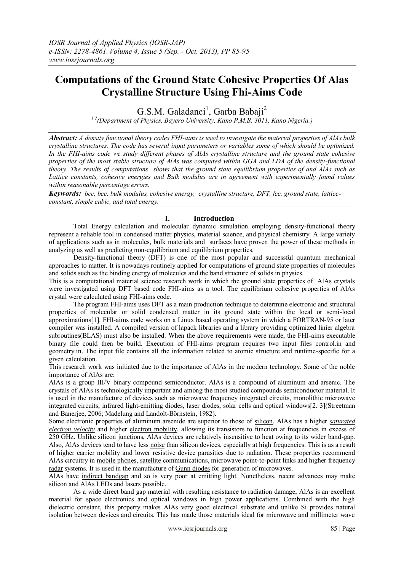# **Computations of the Ground State Cohesive Properties Of Alas Crystalline Structure Using Fhi-Aims Code**

G.S.M. Galadanci<sup>1</sup>, Garba Babaji<sup>2</sup>

*1,2(Department of Physics, Bayero University, Kano P.M.B. 3011, Kano Nigeria.)*

*Abstract: A density functional theory codes FHI-aims is used to investigate the material properties of AlAs bulk crystalline structures. The code has several input parameters or variables some of which should be optimized. In the FHI-aims code we study different phases of AlAs crystalline structure and the ground state cohesive properties of the most stable structure of AlAs was computed within GGA and LDA of the density-functional theory. The results of computations shows that the ground state equilibrium properties of and AlAs such as Lattice constants, cohesive energies and Bulk modulus are in agreement with experimentally found values within reasonable percentage errors.*

*Keywords: bcc, bcc, bulk modulus, cohesive energy, crystalline structure, DFT, fcc, ground state, latticeconstant, simple cubic, and total energy.*

# **I. Introduction**

Total Energy calculation and molecular dynamic simulation employing density-functional theory represent a reliable tool in condensed matter physics, material science, and physical chemistry. A large variety of applications such as in molecules, bulk materials and surfaces have proven the power of these methods in analyzing as well as predicting non-equilibrium and equilibrium properties.

Density-functional theory (DFT) is one of the most popular and successful quantum mechanical approaches to matter. It is nowadays routinely applied for computations of ground state properties of molecules and solids such as the binding energy of molecules and the band structure of solids in physics.

This is a computational material science research work in which the ground state properties of AlAs crystals were investigated using DFT based code FHI-aims as a tool. The equilibrium cohesive properties of AlAs crystal were calculated using FHI-aims code.

The program FHI-aims uses DFT as a main production technique to determine electronic and structural properties of molecular or solid condensed matter in its ground state within the local or semi-local approximations[1]. FHI-aims code works on a Linux based operating system in which a FORTRAN-95 or later compiler was installed. A compiled version of lapack libraries and a library providing optimized linier algebra subroutines(BLAS) must also be installed. When the above requirements were made, the FHI-aims executable binary file could then be build. Execution of FHI-aims program requires two input files control.in and geometry.in. The input file contains all the information related to atomic structure and runtime-specific for a given calculation.

This research work was initiated due to the importance of AlAs in the modern technology. Some of the noble importance of AlAs are:

AlAs is a group III/V binary compound semiconductor. AlAs is a compound of aluminum and arsenic. The crystals of AlAs is technologically important and among the most studied compounds semiconductor material. It is used in the manufacture of devices such as [microwave](http://en.wikipedia.org/wiki/Microwave) frequency [integrated circuits,](http://en.wikipedia.org/wiki/Integrated_circuit) [monolithic microwave](http://en.wikipedia.org/wiki/Monolithic_microwave_integrated_circuit)  [integrated circuits,](http://en.wikipedia.org/wiki/Monolithic_microwave_integrated_circuit) [infrared](http://en.wikipedia.org/wiki/Infrared) [light-emitting diodes,](http://en.wikipedia.org/wiki/Light-emitting_diode) [laser diodes,](http://en.wikipedia.org/wiki/Laser_diode) [solar cells](http://en.wikipedia.org/wiki/Solar_cells) and optical windows[2. 3](Streetman and Banerjee, 2006; Madelung and Landolt-Börnstein, 1982).

Some electronic properties of aluminum arsenide are superior to those of [silicon.](http://en.wikipedia.org/wiki/Silicon) AlAs has a higher *[saturated](http://en.wikipedia.org/wiki/Saturation_velocity)  [electron velocity](http://en.wikipedia.org/wiki/Saturation_velocity)* and higher [electron mobility,](http://en.wikipedia.org/wiki/Electron_mobility) allowing its transistors to function at frequencies in excess of 250 GHz. Unlike silicon junctions, AlAs devices are relatively insensitive to heat owing to its wider band-gap. Also, AlAs devices tend to have less [noise](http://en.wikipedia.org/wiki/Noise_%28physics%29) than silicon devices, especially at high frequencies. This is as a result of higher carrier mobility and lower resistive device parasitics due to radiation. These properties recommend AlAs circuitry in [mobile phones,](http://en.wikipedia.org/wiki/Mobile_phone) [satellite](http://en.wikipedia.org/wiki/Communications_satellite) communications, microwave point-to-point links and higher frequency [radar](http://en.wikipedia.org/wiki/Radar) systems. It is used in the manufacture o[f Gunn diodes](http://en.wikipedia.org/wiki/Gunn_diode) for generation of microwaves.

AlAs have [indirect bandgap](http://en.wikipedia.org/wiki/Indirect_bandgap) and so is very poor at emitting light. Nonetheless, recent advances may make silicon and AlA[s LEDs](http://en.wikipedia.org/wiki/LED) an[d lasers](http://en.wikipedia.org/wiki/Laser) possible.

As a wide direct band gap material with resulting resistance to radiation damage, AlAs is an excellent material for space electronics and optical windows in high power applications. Combined with the high dielectric constant, this property makes AlAs very good electrical substrate and unlike Si provides natural isolation between devices and circuits. This has made those materials ideal for microwave and millimeter wave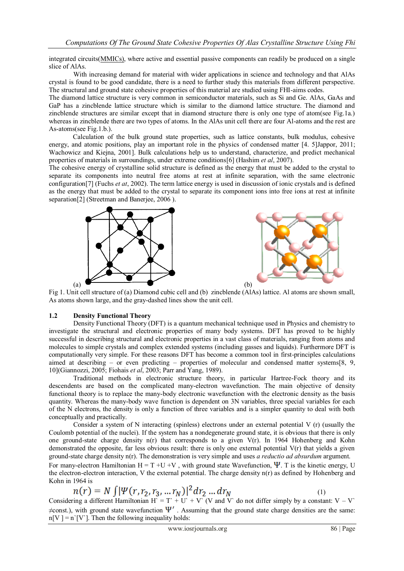integrated circuits[\(MMICs\)](http://en.wikipedia.org/wiki/MMIC), where active and essential passive components can readily be produced on a single slice of AlAs.

With increasing demand for material with wider applications in science and technology and that AlAs crystal is found to be good candidate, there is a need to further study this materials from different perspective. The structural and ground state cohesive properties of this material are studied using FHI-aims codes.

The diamond lattice structure is very common in semiconductor materials, such as Si and Ge. AlAs, GaAs and GaP has a zincblende lattice structure which is similar to the diamond lattice structure. The diamond and zincblende structures are similar except that in diamond structure there is only one type of atom(see Fig.1a.) whereas in zincblende there are two types of atoms. In the AlAs unit cell there are four Al-atoms and the rest are As-atoms(see Fig.1.b.).

Calculation of the bulk ground state properties, such as lattice constants, bulk modulus, cohesive energy, and atomic positions, play an important role in the physics of condensed matter [4. 5]Jappor, 2011; Wachowicz and Kiejna, 2001]. Bulk calculations help us to understand, characterize, and predict mechanical properties of materials in surroundings, under extreme conditions[6] (Hashim *et al*, 2007).

The cohesive energy of crystalline solid structure is defined as the energy that must be added to the crystal to separate its components into neutral free atoms at rest at infinite separation, with the same electronic configuration[7] (Fuchs *et at*, 2002). The term lattice energy is used in discussion of ionic crystals and is defined as the energy that must be added to the crystal to separate its component ions into free ions at rest at infinite separation<sup>[2]</sup> (Streetman and Banerjee, 2006).





Fig 1. Unit cell structure of (a) Diamond cubic cell and (b) zincblende (AlAs) lattice. Al atoms are shown small, As atoms shown large, and the gray-dashed lines show the unit cell.

## **1.2 Density Functional Theory**

Density Functional Theory (DFT) is a quantum mechanical technique used in Physics and chemistry to investigate the structural and electronic properties of many body systems. DFT has proved to be highly successful in describing structural and electronic properties in a vast class of materials, ranging from atoms and molecules to simple crystals and complex extended systems (including gasses and liquids). Furthermore DFT is computationally very simple. For these reasons DFT has become a common tool in first-principles calculations aimed at describing – or even predicting – properties of molecular and condensed matter systems[8, 9, 10](Giannozzi, 2005; Fiohais *et al*, 2003; Parr and Yang, 1989).

Traditional methods in electronic structure theory, in particular Hartree-Fock theory and its descendents are based on the complicated many-electron wavefunction. The main objective of density functional theory is to replace the many-body electronic wavefunction with the electronic density as the basis quantity. Whereas the many-body wave function is dependent on 3N variables, three special variables for each of the N electrons, the density is only a function of three variables and is a simpler quantity to deal with both conceptually and practically.

Consider a system of N interacting (spinless) electrons under an external potential V (r) (usually the Coulomb potential of the nuclei). If the system has a nondegenerate ground state, it is obvious that there is only one ground-state charge density n(r) that corresponds to a given V(r). In 1964 Hohenberg and Kohn demonstrated the opposite, far less obvious result: there is only one external potential V(r) that yields a given ground-state charge density n(r). The demonstration is very simple and uses *a reductio ad absurdum* argument.

For many-electron Hamiltonian H = T +U +V, with ground state Wavefunction,  $\Psi$ . T is the kinetic energy, U the electron-electron interaction, V the external potential. The charge density n(r) as defined by Hohenberg and Kohn in 1964 is

$$
n(r) = N \int |\Psi(r, r_2, r_3, ... r_N)|^2 dr_2 ... dr_N
$$
 (1)

Considering a different Hamiltonian H` = T` + U` + V` (V and V` do not differ simply by a constant:  $V - V$ `  $\neq$ const.), with ground state wavefunction  $\Psi'$ . Assuming that the ground state charge densities are the same:  $n[V] = n[V']$ . Then the following inequality holds: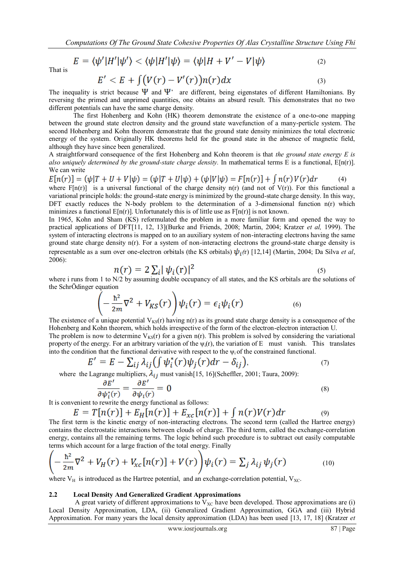$$
E = \langle \psi' | H' | \psi' \rangle < \langle \psi | H' | \psi \rangle = \langle \psi | H + V' - V | \psi \rangle \tag{2}
$$

That is

$$
E' < E + \int \bigl(V(r) - V'(r)\bigr) n(r) \, dx \tag{3}
$$

The inequality is strict because  $\Psi$  and  $\Psi$ <sup>2</sup> are different, being eigenstates of different Hamiltonians. By reversing the primed and unprimed quantities, one obtains an absurd result. This demonstrates that no two different potentials can have the same charge density.

The first Hohenberg and Kohn (HK) theorem demonstrate the existence of a one-to-one mapping between the ground state electron density and the ground state wavefunction of a many-perticle system. The second Hohenberg and Kohn theorem demonstrate that the ground state density minimizes the total electronic energy of the system. Originally HK theorems held for the ground state in the absence of magnetic field, although they have since been generalized.

A straightforward consequence of the first Hohenberg and Kohn theorem is that *the ground state energy E is also uniquely determined by the ground-state charge density.* In mathematical terms E is a functional, E[n(r)]. We can write

 $E[n(r)] = (\psi|T + U + V|\psi) = (\psi|T + U|\psi) + (\psi|V|\psi) = F[n(r)] + \int n(r)V(r)dr$  (4) where  $F[n(r)]$  is a universal functional of the charge density  $n(r)$  (and not of  $V(r)$ ). For this functional a variational principle holds: the ground-state energy is minimized by the ground-state charge density. In this way, DFT exactly reduces the N-body problem to the determination of a 3-dimensional function  $n(r)$  which minimizes a functional  $E[n(r)]$ . Unfortunately this is of little use as  $F[n(r)]$  is not known.

In 1965, Kohn and Sham (KS) reformulated the problem in a more familiar form and opened the way to practical applications of DFT[11, 12, 13](Burke and Friends, 2008; Martin, 2004; Kratzer *et al,* 1999). The system of interacting electrons is mapped on to an auxiliary system of non-interacting electrons having the same ground state charge density n(r). For a system of non-interacting electrons the ground-state charge density is representable as a sum over one-electron orbitals (the KS orbitals)  $\psi_i$  (r) [12,14] (Martin, 2004; Da Silva *et al*, 2006):

$$
n(r) = 2\sum_{i} |\psi_i(\mathbf{r})|^2 \tag{5}
$$

where i runs from 1 to N/2 by assuming double occupancy of all states, and the KS orbitals are the solutions of the SchrÖdinger equation

$$
\left(-\frac{\hbar^2}{2m}\nabla^2 + V_{KS}(r)\right)\psi_i(r) = \epsilon_i\psi_i(r) \tag{6}
$$

The existence of a unique potential  $V_{KS}(r)$  having n(r) as its ground state charge density is a consequence of the Hohenberg and Kohn theorem, which holds irrespective of the form of the electron-electron interaction U. The problem is now to determine  $V_{KS}(r)$  for a given n(r). This problem is solved by considering the variational property of the energy. For an arbitrary variation of the  $\psi_i(r)$ , the variation of E must vanish. This translates into the condition that the functional derivative with respect to the  $\psi_i$  of the constrained functional.

$$
E' = E - \sum_{ij} \lambda_{ij} \left( \int \psi_i^*(r) \psi_j(r) dr - \delta_{ij} \right),\tag{7}
$$

where the Lagrange multipliers,  $\lambda_{ij}$  must vanish[15, 16](Scheffler, 2001; Taura, 2009):

$$
\frac{\partial E'}{\partial \psi_i^*(r)} = \frac{\partial E'}{\partial \psi_i(r)} = 0 \tag{8}
$$

It is convenient to rewrite the energy functional as follows:

$$
E = T[n(r)] + E_H[n(r)] + E_{xc}[n(r)] + \int n(r)V(r)dr
$$
\n<sup>(9)</sup>

The first term is the kinetic energy of non-interacting electrons. The second term (called the Hartree energy) contains the electrostatic interactions between clouds of charge. The third term, called the exchange-correlation energy, contains all the remaining terms. The logic behind such procedure is to subtract out easily computable terms which account for a large fraction of the total energy. Finally

$$
\left(-\frac{\hbar^2}{2m}\nabla^2 + V_H(r) + V_{xc}[n(r)] + V(r)\right)\psi_i(r) = \sum_j \lambda_{ij}\psi_j(r) \tag{10}
$$

where  $V_H$  is introduced as the Hartree potential, and an exchange-correlation potential,  $V_{X_C}$ .

#### **2.2 Local Density And Generalized Gradient Approximations**

A great variety of different approximations to  $V_{XC}$  have been developed. Those approximations are (i) Local Density Approximation, LDA, (ii) Generalized Gradient Approximation, GGA and (iii) Hybrid Approximation. For many years the local density approximation (LDA) has been used [13, 17, 18] (Kratzer *et*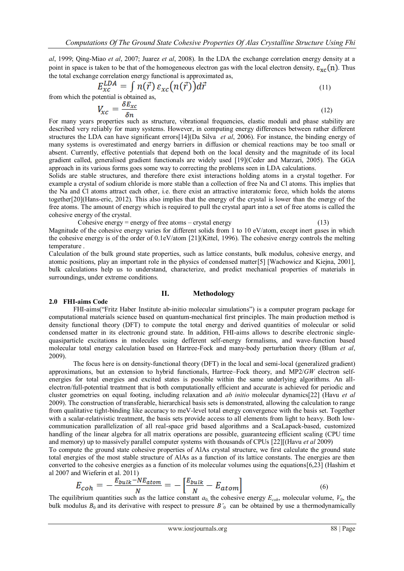*al*, 1999; Qing-Miao *et al*, 2007; Juarez *et al*, 2008). In the LDA the exchange correlation energy density at a point in space is taken to be that of the homogeneous electron gas with the local electron density,  $\epsilon_{\rm xc}(n)$ . Thus the total exchange correlation energy functional is approximated as,

$$
E_{xc}^{LDA} = \int n(\vec{r}) \, \varepsilon_{xc}\big(n(\vec{r})\big) d\vec{r} \tag{11}
$$

from which the potential is obtained as,

$$
V_{xc} = \frac{\delta E_{xc}}{\delta n} \tag{12}
$$

For many years properties such as structure, vibrational frequencies, elastic moduli and phase stability are described very reliably for many systems. However, in computing energy differences between rather different structures the LDA can have significant errors[14](Da Silva *et al*, 2006). For instance, the binding energy of many systems is overestimated and energy barriers in diffusion or chemical reactions may be too small or absent. Currently, effective potentials that depend both on the local density and the magnitude of its local gradient called, generalised gradient functionals are widely used [19](Ceder and Marzari, 2005). The GGA approach in its various forms goes some way to correcting the problems seen in LDA calculations.

Solids are stable structures, and therefore there exist interactions holding atoms in a crystal together. For example a crystal of sodium chloride is more stable than a collection of free Na and Cl atoms. This implies that the Na and Cl atoms attract each other, i.e. there exist an attractive interatomic force, which holds the atoms together[20](Hans-eric, 2012). This also implies that the energy of the crystal is lower than the energy of the free atoms. The amount of energy which is required to pull the crystal apart into a set of free atoms is called the cohesive energy of the crystal.

Cohesive energy = energy of free atoms – crystal energy  $(13)$ 

Magnitude of the cohesive energy varies for different solids from 1 to 10 eV/atom, except inert gases in which the cohesive energy is of the order of 0.1eV/atom [21](Kittel, 1996). The cohesive energy controls the melting temperature .

Calculation of the bulk ground state properties, such as lattice constants, bulk modulus, cohesive energy, and atomic positions, play an important role in the physics of condensed matter[5] [Wachowicz and Kiejna, 2001], bulk calculations help us to understand, characterize, and predict mechanical properties of materials in surroundings, under extreme conditions.

# **II. Methodology**

# **2.0 FHI-aims Code**

FHI-aims("Fritz Haber Institute ab-initio molecular simulations") is a computer program package for computational materials science based on quantum-mechanical first principles. The main production method is density functional theory (DFT) to compute the total energy and derived quantities of molecular or solid condensed matter in its electronic ground state. In addition, FHI-aims allows to describe electronic singlequasiparticle excitations in molecules using defferent self-energy formalisms, and wave-function based molecular total energy calculation based on Hartree-Fock and many-body perturbation theory (Blum *et al*, 2009).

The focus here is on density-functional theory (DFT) in the local and semi-local (generalized gradient) approximations, but an extension to hybrid functionals, Hartree–Fock theory, and MP2/*GW* electron selfenergies for total energies and excited states is possible within the same underlying algorithms. An allelectron/full-potential treatment that is both computationally efficient and accurate is achieved for periodic and cluster geometries on equal footing, including relaxation and *ab initio* molecular dynamics[22] (Havu *et al* 2009). The construction of transferable, hierarchical basis sets is demonstrated, allowing the calculation to range from qualitative tight-binding like accuracy to meV-level total energy convergence with the basis set. Together with a scalar-relativistic treatment, the basis sets provide access to all elements from light to heavy. Both lowcommunication parallelization of all real-space grid based algorithms and a ScaLapack-based, customized handling of the linear algebra for all matrix operations are possible, guaranteeing efficient scaling (CPU time and memory) up to massively parallel computer systems with thousands of CPUs [22][(Havu *et al* 2009)

To compute the ground state cohesive properties of AlAs crystal structure, we first calculate the ground state total energies of the most stable structure of AlAs as a function of its lattice constants. The energies are then converted to the cohesive energies as a function of its molecular volumes using the equations[6,23] (Hashim et al 2007 and Wieferin et al. 2011)

$$
E_{coh} = -\frac{E_{bulk} - NE_{atom}}{N} = -\left[\frac{E_{bulk}}{N} - E_{atom}\right]
$$
\n(6)

The equilibrium quantities such as the lattice constant  $a_0$  the cohesive energy  $E_{coh}$ , molecular volume,  $V_0$ , the bulk modulus  $B_0$  and its derivative with respect to pressure  $B<sub>0</sub>$  can be obtained by use a thermodynamically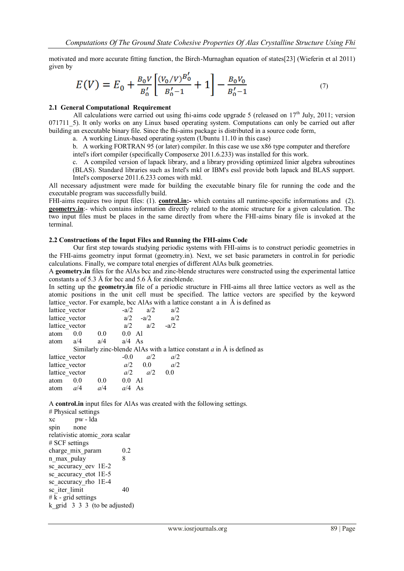motivated and more accurate fitting function, the Birch-Murnaghan equation of states[23] (Wieferin et al 2011) given by

$$
E(V) = E_0 + \frac{B_0 V}{B_0'} \left[ \frac{(V_0/V)^{B_0'}}{B_0' - 1} + 1 \right] - \frac{B_0 V_0}{B_0' - 1} \tag{7}
$$

## **2.1 General Computational Requirement**

All calculations were carried out using fhi-aims code upgrade 5 (released on  $17<sup>th</sup>$  July, 2011; version 071711\_5). It only works on any Linux based operating system. Computations can only be carried out after building an executable binary file. Since the fhi-aims package is distributed in a source code form,

a. A working Linux-based operating system (Ubuntu 11.10 in this case)

b. A working FORTRAN 95 (or later) compiler. In this case we use x86 type computer and therefore

intel's ifort compiler (specifically Composerxe 2011.6.233) was installed for this work.

c. A compiled version of lapack library, and a library providing optimized linier algebra subroutines (BLAS). Standard libraries such as Intel's mkl or IBM's essl provide both lapack and BLAS support. Intel's composerxe 2011.6.233 comes with mkl.

All necessary adjustment were made for building the executable binary file for running the code and the executable program was successfully build.

FHI-aims requires two input files: (1). **control.in:-** which contains all runtime-specific informations and (2). **geometry.in**:- which contains information directly related to the atomic structure for a given calculation. The two input files must be places in the same directly from where the FHI-aims binary file is invoked at the terminal.

#### **2.2 Constructions of the Input Files and Running the FHI-aims Code**

Our first step towards studying periodic systems with FHI-aims is to construct periodic geometries in the FHI-aims geometry input format (geometry.in). Next, we set basic parameters in control.in for periodic calculations. Finally, we compare total energies of different AlAs bulk geometries.

A **geometry.in** files for the AlAs bcc and zinc-blende structures were constructed using the experimental lattice constants a of 5.3 Å for bcc and 5.6 Å for zincblende.

In setting up the **geometry.in** file of a periodic structure in FHI-aims all three lattice vectors as well as the atomic positions in the unit cell must be specified. The lattice vectors are specified by the keyword lattice vector. For example, bcc AlAs with a lattice constant  $\alpha$  in  $\beta$  is defined as

| lattice vector |         |                  | $-a/2$   | a/2       | a/2    |                                                                                   |
|----------------|---------|------------------|----------|-----------|--------|-----------------------------------------------------------------------------------|
| lattice vector |         |                  | a/2      | $-a/2$    | a/2    |                                                                                   |
| lattice vector |         |                  | a/2      | a/2       | $-a/2$ |                                                                                   |
| atom           | 0.0     | 0.0 <sub>1</sub> | $0.0$ Al |           |        |                                                                                   |
| atom $a/4$     |         | a/4              | $a/4$ As |           |        |                                                                                   |
|                |         |                  |          |           |        | Similarly zinc-blende AlAs with a lattice constant $a$ in $\hat{A}$ is defined as |
| lattice vector |         |                  | $-0.0$   | a/2       | a/2    |                                                                                   |
| lattice vector |         |                  |          | $a/2$ 0.0 | a/2    |                                                                                   |
| lattice vector |         |                  | a/2      | a/2       | 0.0    |                                                                                   |
| atom           | $0.0\,$ | 0.0 <sub>1</sub> | $0.0$ Al |           |        |                                                                                   |
| atom           | a/4     | a/4              | $a/4$ As |           |        |                                                                                   |

A **control.in** input files for AlAs was created with the following settings.

# Physical settings xc pw - lda spin none relativistic atomic\_zora scalar # SCF settings charge mix param 0.2 n max pulay 8 sc accuracy eev 1E-2 sc accuracy etot 1E-5 sc accuracy rho 1E-4 sc<sup>1</sup>iter limit 40  $# k$  - grid settings k grid  $3 \overline{3} \overline{3}$  (to be adjusted)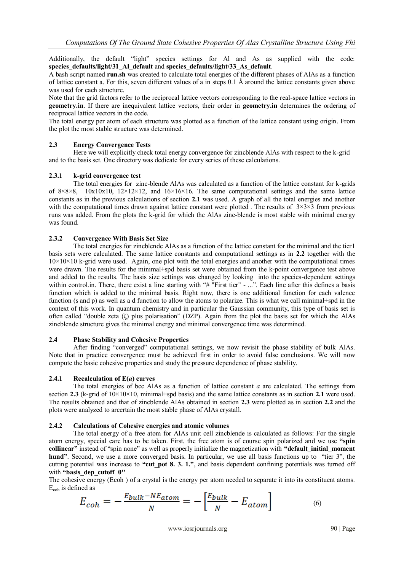Additionally, the default "light" species settings for Al and As as supplied with the code: species defaults/light/31 Al\_default and species defaults/light/33 As\_default.

A bash script named **run.sh** was created to calculate total energies of the different phases of AlAs as a function of lattice constant a. For this, seven different values of a in steps 0.1 Å around the lattice constants given above was used for each structure.

Note that the grid factors refer to the reciprocal lattice vectors corresponding to the real-space lattice vectors in **geometry.in**. If there are inequivalent lattice vectors, their order in **geometry.in** determines the ordering of reciprocal lattice vectors in the code.

The total energy per atom of each structure was plotted as a function of the lattice constant using origin. From the plot the most stable structure was determined.

# **2.3 Energy Convergence Tests**

Here we will explicitly check total energy convergence for zincblende AlAs with respect to the k-grid and to the basis set. One directory was dedicate for every series of these calculations.

# **2.3.1 k-grid convergence test**

The total energies for zinc-blende AlAs was calculated as a function of the lattice constant for k-grids of  $8\times8\times8$ ,  $10\times10\times10$ ,  $12\times12\times12$ , and  $16\times16\times16$ . The same computational settings and the same lattice constants as in the previous calculations of section **2.1** was used. A graph of all the total energies and another with the computational times drawn against lattice constant were plotted. The results of  $3\times3\times3$  from previous runs was added. From the plots the k-grid for which the AlAs zinc-blende is most stable with minimal energy was found.

# **2.3.2 Convergence With Basis Set Size**

The total energies for zincblende AlAs as a function of the lattice constant for the minimal and the tier1 basis sets were calculated. The same lattice constants and computational settings as in **2.2** together with the  $10\times10\times10$  k-grid were used. Again, one plot with the total energies and another with the computational times were drawn. The results for the minimal+spd basis set were obtained from the k-point convergence test above and added to the results. The basis size settings was changed by looking into the species-dependent settings within control.in. There, there exist a line starting with "# "First tier" - ...". Each line after this defines a basis function which is added to the minimal basis. Right now, there is one additional function for each valence function (s and p) as well as a d function to allow the atoms to polarize. This is what we call minimal+spd in the context of this work. In quantum chemistry and in particular the Gaussian community, this type of basis set is often called "double zeta (ζ) plus polarisation" (DZP). Again from the plot the basis set for which the AlAs zincblende structure gives the minimal energy and minimal convergence time was determined.

## **2.4 Phase Stability and Cohesive Properties**

After finding "converged" computational settings, we now revisit the phase stability of bulk AlAs. Note that in practice convergence must be achieved first in order to avoid false conclusions. We will now compute the basic cohesive properties and study the pressure dependence of phase stability.

## **2.4.1 Recalculation of E(***a***) curves**

The total energies of bcc AlAs as a function of lattice constant *a* are calculated. The settings from section **2.3** (k-grid of  $10 \times 10 \times 10$ , minimal+spd basis) and the same lattice constants as in section **2.1** were used. The results obtained and that of zincblende AlAs obtained in section **2.3** were plotted as in section **2.2** and the plots were analyzed to arcertain the most stable phase of AlAs crystall.

## **2.4.2 Calculations of Cohesive energies and atomic volumes**

The total energy of a free atom for AlAs unit cell zincblende is calculated as follows: For the single atom energy, special care has to be taken. First, the free atom is of course spin polarized and we use **"spin collinear"** instead of "spin none" as well as properly initialize the magnetization with **"default\_initial\_moment hund"**. Second, we use a more converged basis. In particular, we use all basis functions up to "tier 3", the cutting potential was increase to "cut pot 8. 3. 1.", and basis dependent confining potentials was turned off with **"basis\_dep\_cutoff 0''**

The cohesive energy (Ecoh ) of a crystal is the energy per atom needed to separate it into its constituent atoms. Ecoh is defined as

$$
E_{coh} = -\frac{E_{bulk} - NE_{atom}}{N} = -\left[\frac{E_{bulk}}{N} - E_{atom}\right]
$$
 (6)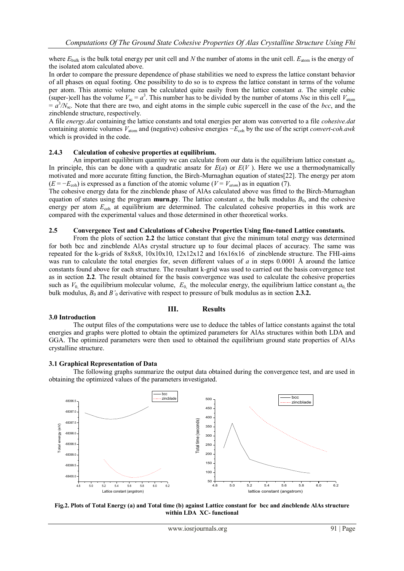where  $E_{\text{bulk}}$  is the bulk total energy per unit cell and *N* the number of atoms in the unit cell.  $E_{\text{atom}}$  is the energy of the isolated atom calculated above.

In order to compare the pressure dependence of phase stabilities we need to express the lattice constant behavior of all phases on equal footing. One possibility to do so is to express the lattice constant in terms of the volume per atom. This atomic volume can be calculated quite easily from the lattice constant *a*. The simple cubic (super-)cell has the volume  $V_{\rm sc} = a^3$ . This number has to be divided by the number of atoms *N*sc in this cell  $V_{\rm atom}$  $= a^3/N_{\rm sc}$ . Note that there are two, and eight atoms in the simple cubic supercell in the case of the *bcc*, and the zincblende structure, respectively.

A file *energy.dat* containing the lattice constants and total energies per atom was converted to a file *cohesive.dat* containing atomic volumes *V*atom and (negative) cohesive energies −*E*coh by the use of the script *convert-coh.awk* which is provided in the code.

#### **2.4.3 Calculation of cohesive properties at equilibrium.**

An important equilibrium quantity we can calculate from our data is the equilibrium lattice constant  $a_0$ . In principle, this can be done with a quadratic ansatz for  $E(a)$  or  $E(V)$ . Here we use a thermodynamically motivated and more accurate fitting function, the Birch-Murnaghan equation of states[22]. The energy per atom  $(E = -E_{\text{coh}})$  is expressed as a function of the atomic volume ( $V = V_{\text{atom}}$ ) as in equation (7).

The cohesive energy data for the zincblende phase of AlAs calculated above was fitted to the Birch-Murnaghan equation of states using the program **murn.py**. The lattice constant *a*, the bulk modulus  $B_0$ , and the cohesive energy per atom  $E_{coh}$  at equilibrium are determined. The calculated cohesive properties in this work are compared with the experimental values and those determined in other theoretical works.

#### **2.5 Convergence Test and Calculations of Cohesive Properties Using fine-tuned Lattice constants.**

From the plots of section **2.2** the lattice constant that give the minimum total energy was determined for both bcc and zincblende AlAs crystal structure up to four decimal places of accuracy. The same was repeated for the k-grids of 8x8x8, 10x10x10, 12x12x12 and 16x16x16 of zincblende structure. The FHI-aims was run to calculate the total energies for, seven different values of *a* in steps 0.0001 Å around the lattice constants found above for each structure. The resultant k-grid was used to carried out the basis convergence test as in section **2.2**. The result obtained for the basis convergence was used to calculate the cohesive properties such as  $V_0$ , the equilibrium molecular volume,  $E_0$ , the molecular energy, the equilibrium lattice constant  $a_0$ , the bulk modulus, *B*<sup>0</sup> and *B'*<sup>0</sup> derivative with respect to pressure of bulk modulus as in section **2.3.2.**

#### **3.0 Introduction**

#### **III. Results**

The output files of the computations were use to deduce the tables of lattice constants against the total energies and graphs were plotted to obtain the optimized parameters for AlAs structures within both LDA and GGA. The optimized parameters were then used to obtained the equilibrium ground state properties of AlAs crystalline structure.

#### **3.1 Graphical Representation of Data**

The following graphs summarize the output data obtained during the convergence test, and are used in obtaining the optimized values of the parameters investigated.



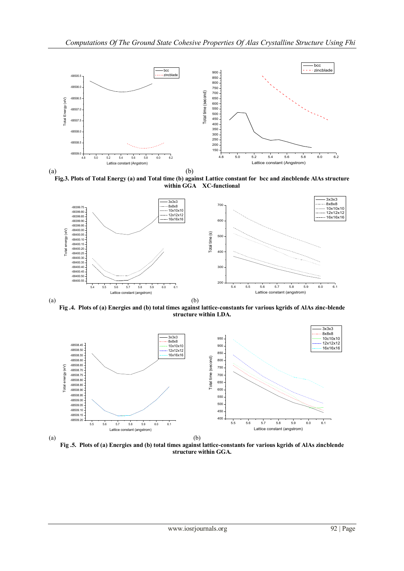

**Fig.3. Plots of Total Energy (a) and Total time (b) against Lattice constant for bcc and zincblende AlAs structure within GGA XC-functional**



**Fig .4. Plots of (a) Energies and (b) total times against lattice-constants for various kgrids of AlAs zinc-blende structure within LDA.**



(a) **Fig .5. Plots of (a) Energies and (b) total times against lattice-constants for various kgrids of AlAs zincblende structure within GGA.**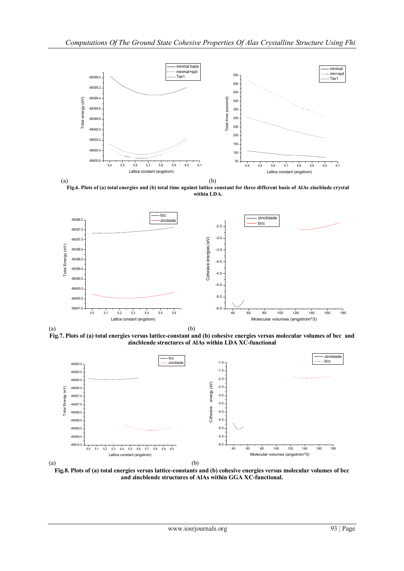

**Fig.6. Plots of (a) total energies and (b) total time against lattice constant for three different basis of AlAs zincblade crystal within LDA.**



(b)

(a) **Fig.7. Plots of (a) total energies versus lattice-constant and (b) cohesive energies versus molecular volumes of bcc and zincblende structures of AlAs within LDA XC-functional**



(a)

**Fig.8. Plots of (a) total energies versus lattice-constants and (b) cohesive energies versus molecular volumes of bcc and zincblende structures of AlAs within GGA XC-functional.**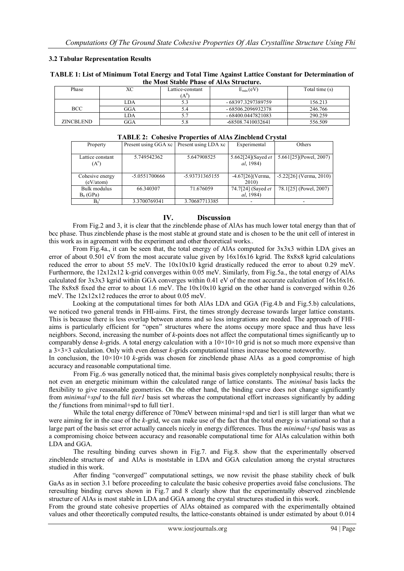## **3.2 Tabular Representation Results**

| TABLE 1: List of Minimum Total Energy and Total Time Against Lattice Constant for Determination of |  |  |  |  |  |  |
|----------------------------------------------------------------------------------------------------|--|--|--|--|--|--|
| the Most Stable Phase of AlAs Structure.                                                           |  |  |  |  |  |  |

| Phase      | лU  | Lattice-constant<br>$A^{0}$ | $E_{\min}(eV)$      | Total time (s) |
|------------|-----|-----------------------------|---------------------|----------------|
|            | LDA |                             | - 68397.3297389759  | 156.213        |
| BCC        | GGA | 4.ر                         | - 68506.2096932378  | 246.766        |
|            | LDA |                             | $-68400.0447821083$ | 290.259        |
| ZINCBLEND. | GGA | 3.0                         | -68508.7410032641   | 556.509        |

|          | <b>TADLE 2: CONESIVE PROPERTIES OF ATAS ZINCORNAL CRYSTAL</b> |               |                                             |                     |                           |  |  |  |  |
|----------|---------------------------------------------------------------|---------------|---------------------------------------------|---------------------|---------------------------|--|--|--|--|
| Property |                                                               |               | Present using GGA xc   Present using LDA xc | Experimental        | Others                    |  |  |  |  |
|          |                                                               |               |                                             |                     |                           |  |  |  |  |
|          | Lattice constant                                              | 5.749542362   | 5.647908525                                 | 5.662[24](Sayed et  | 5.661[25](Powel, 2007)    |  |  |  |  |
|          | $(A^{\circ})$                                                 |               |                                             | <i>al.</i> 1984)    |                           |  |  |  |  |
|          |                                                               |               |                                             |                     |                           |  |  |  |  |
|          | Cohesive energy                                               | -5.0551700666 | -5.93731365155                              | $-4.67[26]$ (Verma, | $-5.22[26]$ (Verma, 2010) |  |  |  |  |
|          | (eV/atom)                                                     |               |                                             | 2010)               |                           |  |  |  |  |
|          | Bulk modulus                                                  | 66.340307     | 71.676059                                   | 74.7[24] (Sayed et  | 78.1[25] (Powel, 2007)    |  |  |  |  |
|          | $B_0$ (GPa)                                                   |               |                                             | <i>al</i> , 1984)   |                           |  |  |  |  |
|          | $B_0$                                                         | 3.3700769341  | 3.70687713385                               |                     |                           |  |  |  |  |

#### **TABLE 2: Cohesive Properties of AlAs Zincblend Crystal**

# **IV. Discussion**

From Fig.2 and 3, it is clear that the zincblende phase of AlAs has much lower total energy than that of bcc phase. Thus zincblende phase is the most stable at ground state and is chosen to be the unit cell of interest in this work as in agreement with the experiment and other theoretical works..

From Fig.4a., it can be seen that, the total energy of AlAs computed for 3x3x3 within LDA gives an error of about 0.501 eV from the most accurate value given by  $16x16x16$  kgrid. The 8x8x8 kgrid calculations reduced the error to about 55 meV. The  $10x10x10$  kgrid drastically reduced the error to about 0.29 meV. Furthermore, the 12x12x12 k-grid converges within 0.05 meV. Similarly, from Fig.5a., the total energy of AlAs calculated for 3x3x3 kgrid within GGA converges within 0.41 eV of the most accurate calculation of 16x16x16. The 8x8x8 fixed the error to about 1.6 meV. The 10x10x10 kgrid on the other hand is converged within 0.26 meV. The 12x12x12 reduces the error to about 0.05 meV.

Looking at the computational times for both AlAs LDA and GGA (Fig.4.b and Fig.5.b) calculations, we noticed two general trends in FHI-aims. First, the times strongly decrease towards larger lattice constants. This is because there is less overlap between atoms and so less integrations are needed. The approach of FHIaims is particularly efficient for "open" structures where the atoms occupy more space and thus have less neighbors. Second, increasing the number of *k*-points does not affect the computational times significantly up to comparably dense *k*-grids. A total energy calculation with a  $10 \times 10 \times 10$  grid is not so much more expensive than a 3×3×3 calculation. Only with even denser *k*-grids computational times increase become noteworthy.

In conclusion, the  $10\times10\times10$  *k*-grids was chosen for zincblende phase AlAs as a good compromise of high accuracy and reasonable computational time.

From Fig..6 was generally noticed that, the minimal basis gives completely nonphysical results; there is not even an energetic minimum within the calculated range of lattice constants. The *minimal* basis lacks the flexibility to give reasonable geometries. On the other hand, the binding curve does not change significantly from *minimal+spd* to the full *tier1* basis set whereas the computational effort increases significantly by adding the *f* functions from minimal+spd to full tier1.

While the total energy difference of 70 meV between minimal+spd and tier l is still larger than what we were aiming for in the case of the *k*-grid, we can make use of the fact that the total energy is variational so that a large part of the basis set error actually cancels nicely in energy differences. Thus the *minimal+spd* basis was as a compromising choice between accuracy and reasonable computational time for AlAs calculation within both LDA and GGA.

The resulting binding curves shown in Fig.7. and Fig.8. show that the experimentally observed zincblende structure of and AlAs is moststable in LDA and GGA calculation among the crystal structures studied in this work.

After finding "converged" computational settings, we now revisit the phase stability check of bulk GaAs as in section 3.1 before proceeding to calculate the basic cohesive properties avoid false conclusions. The reresulting binding curves shown in Fig.7 and 8 clearly show that the experimentally observed zincblende structure of AlAs is most stable in LDA and GGA among the crystal structures studied in this work.

From the ground state cohesive properties of AlAs obtained as compared with the experimentally obtained values and other theoretically computed results, the lattice-constants obtained is under estimated by about 0.014